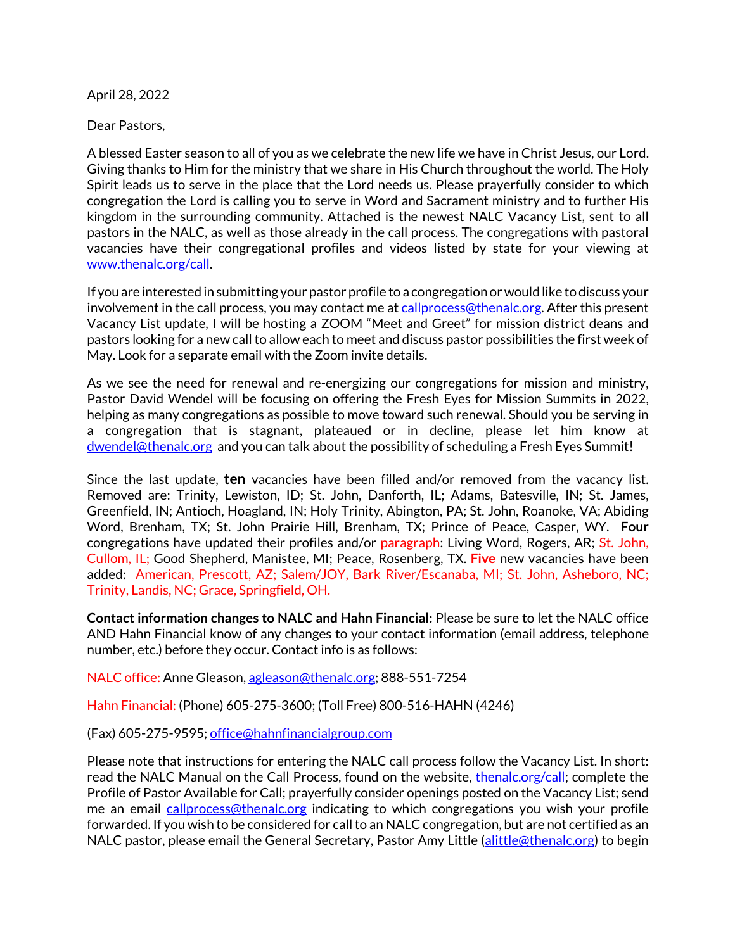April 28, 2022

Dear Pastors,

A blessed Easter season to all of you as we celebrate the new life we have in Christ Jesus, our Lord. Giving thanks to Him for the ministry that we share in His Church throughout the world. The Holy Spirit leads us to serve in the place that the Lord needs us. Please prayerfully consider to which congregation the Lord is calling you to serve in Word and Sacrament ministry and to further His kingdom in the surrounding community. Attached is the newest NALC Vacancy List, sent to all pastors in the NALC, as well as those already in the call process. The congregations with pastoral vacancies have their congregational profiles and videos listed by state for your viewing at www.thenalc.org/call.

If you are interested in submitting your pastor profile to a congregation or would like to discuss your involvement in the call process, you may contact me at callprocess@thenalc.org. After this present Vacancy List update, I will be hosting a ZOOM "Meet and Greet" for mission district deans and pastors looking for a new call to allow each to meet and discuss pastor possibilities the first week of May. Look for a separate email with the Zoom invite details.

As we see the need for renewal and re-energizing our congregations for mission and ministry, Pastor David Wendel will be focusing on offering the Fresh Eyes for Mission Summits in 2022, helping as many congregations as possible to move toward such renewal. Should you be serving in a congregation that is stagnant, plateaued or in decline, please let him know at dwendel@thenalc.org and you can talk about the possibility of scheduling a Fresh Eyes Summit!

Since the last update, **ten** vacancies have been filled and/or removed from the vacancy list. Removed are: Trinity, Lewiston, ID; St. John, Danforth, IL; Adams, Batesville, IN; St. James, Greenfield, IN; Antioch, Hoagland, IN; Holy Trinity, Abington, PA; St. John, Roanoke, VA; Abiding Word, Brenham, TX; St. John Prairie Hill, Brenham, TX; Prince of Peace, Casper, WY. **Four** congregations have updated their profiles and/or paragraph: Living Word, Rogers, AR; St. John, Cullom, IL; Good Shepherd, Manistee, MI; Peace, Rosenberg, TX. **Five** new vacancies have been added: American, Prescott, AZ; Salem/JOY, Bark River/Escanaba, MI; St. John, Asheboro, NC; Trinity, Landis, NC; Grace, Springfield, OH.

**Contact information changes to NALC and Hahn Financial:** Please be sure to let the NALC office AND Hahn Financial know of any changes to your contact information (email address, telephone number, etc.) before they occur. Contact info is as follows:

NALC office: Anne Gleason, agleason@thenalc.org; 888-551-7254

Hahn Financial: (Phone) 605-275-3600; (Toll Free) 800-516-HAHN (4246)

(Fax) 605-275-9595; office@hahnfinancialgroup.com

Please note that instructions for entering the NALC call process follow the Vacancy List. In short: read the NALC Manual on the Call Process, found on the website, thenalc.org/call; complete the Profile of Pastor Available for Call; prayerfully consider openings posted on the Vacancy List; send me an email callprocess@thenalc.org indicating to which congregations you wish your profile forwarded. If you wish to be considered for call to an NALC congregation, but are not certified as an NALC pastor, please email the General Secretary, Pastor Amy Little (alittle @thenalc.org) to begin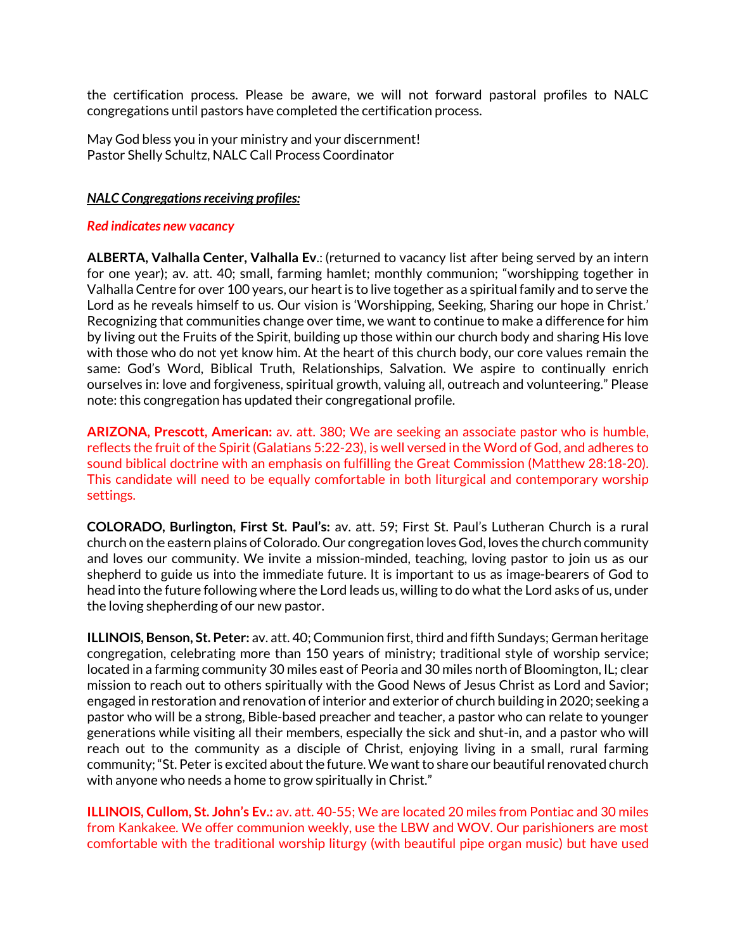the certification process. Please be aware, we will not forward pastoral profiles to NALC congregations until pastors have completed the certification process.

May God bless you in your ministry and your discernment! Pastor Shelly Schultz, NALC Call Process Coordinator

## *NALC Congregations receiving profiles:*

## *Red indicates new vacancy*

**ALBERTA, Valhalla Center, Valhalla Ev**.: (returned to vacancy list after being served by an intern for one year); av. att. 40; small, farming hamlet; monthly communion; "worshipping together in Valhalla Centre for over 100 years, our heart is to live together as a spiritual family and to serve the Lord as he reveals himself to us. Our vision is 'Worshipping, Seeking, Sharing our hope in Christ.' Recognizing that communities change over time, we want to continue to make a difference for him by living out the Fruits of the Spirit, building up those within our church body and sharing His love with those who do not yet know him. At the heart of this church body, our core values remain the same: God's Word, Biblical Truth, Relationships, Salvation. We aspire to continually enrich ourselves in: love and forgiveness, spiritual growth, valuing all, outreach and volunteering." Please note: this congregation has updated their congregational profile.

**ARIZONA, Prescott, American:** av. att. 380; We are seeking an associate pastor who is humble, reflects the fruit of the Spirit (Galatians 5:22-23), is well versed in the Word of God, and adheres to sound biblical doctrine with an emphasis on fulfilling the Great Commission (Matthew 28:18-20). This candidate will need to be equally comfortable in both liturgical and contemporary worship settings.

**COLORADO, Burlington, First St. Paul's:** av. att. 59; First St. Paul's Lutheran Church is a rural church on the eastern plains of Colorado. Our congregation loves God, loves the church community and loves our community. We invite a mission-minded, teaching, loving pastor to join us as our shepherd to guide us into the immediate future. It is important to us as image-bearers of God to head into the future following where the Lord leads us, willing to do what the Lord asks of us, under the loving shepherding of our new pastor.

**ILLINOIS, Benson, St. Peter:** av. att. 40; Communion first, third and fifth Sundays; German heritage congregation, celebrating more than 150 years of ministry; traditional style of worship service; located in a farming community 30 miles east of Peoria and 30 miles north of Bloomington, IL; clear mission to reach out to others spiritually with the Good News of Jesus Christ as Lord and Savior; engaged in restoration and renovation of interior and exterior of church building in 2020; seeking a pastor who will be a strong, Bible-based preacher and teacher, a pastor who can relate to younger generations while visiting all their members, especially the sick and shut-in, and a pastor who will reach out to the community as a disciple of Christ, enjoying living in a small, rural farming community; "St. Peter is excited about the future. We want to share our beautiful renovated church with anyone who needs a home to grow spiritually in Christ."

**ILLINOIS, Cullom, St. John's Ev.:** av. att. 40-55; We are located 20 miles from Pontiac and 30 miles from Kankakee. We offer communion weekly, use the LBW and WOV. Our parishioners are most comfortable with the traditional worship liturgy (with beautiful pipe organ music) but have used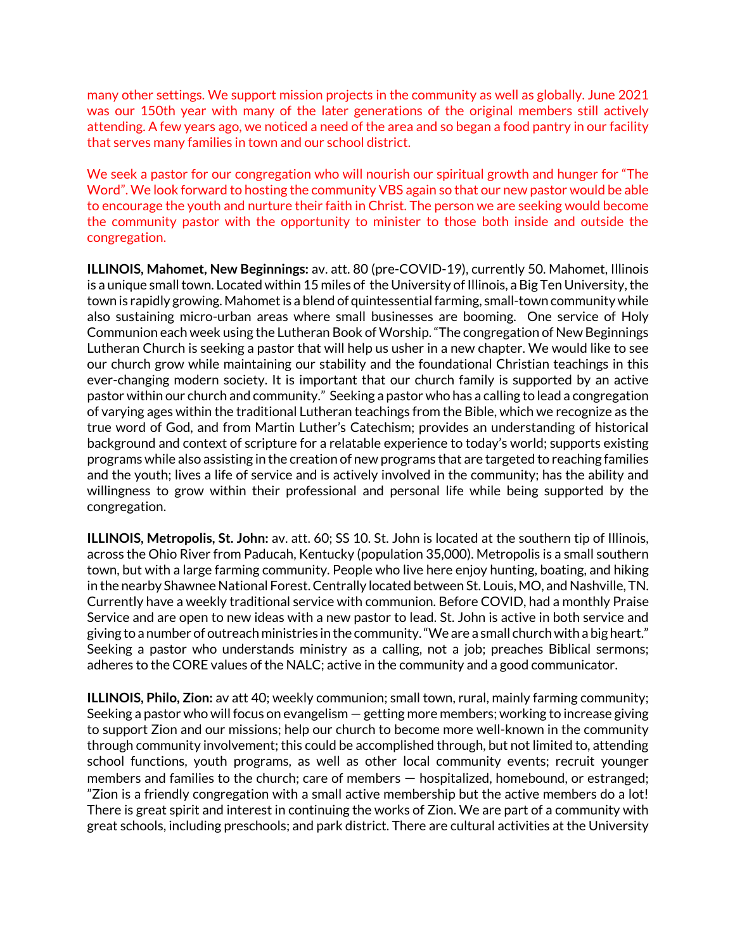many other settings. We support mission projects in the community as well as globally. June 2021 was our 150th year with many of the later generations of the original members still actively attending. A few years ago, we noticed a need of the area and so began a food pantry in our facility that serves many families in town and our school district.

We seek a pastor for our congregation who will nourish our spiritual growth and hunger for "The Word". We look forward to hosting the community VBS again so that our new pastor would be able to encourage the youth and nurture their faith in Christ. The person we are seeking would become the community pastor with the opportunity to minister to those both inside and outside the congregation.

**ILLINOIS, Mahomet, New Beginnings:** av. att. 80 (pre-COVID-19), currently 50. Mahomet, Illinois is a unique small town. Located within 15 miles of the University of Illinois, a Big Ten University, the town is rapidly growing. Mahomet is a blend of quintessential farming, small-town community while also sustaining micro-urban areas where small businesses are booming. One service of Holy Communion each week using the Lutheran Book of Worship."The congregation of New Beginnings Lutheran Church is seeking a pastor that will help us usher in a new chapter. We would like to see our church grow while maintaining our stability and the foundational Christian teachings in this ever-changing modern society. It is important that our church family is supported by an active pastor within our church and community." Seeking a pastor who has a calling to lead a congregation of varying ages within the traditional Lutheran teachings from the Bible, which we recognize as the true word of God, and from Martin Luther's Catechism; provides an understanding of historical background and context of scripture for a relatable experience to today's world; supports existing programs while also assisting in the creation of new programs that are targeted to reaching families and the youth; lives a life of service and is actively involved in the community; has the ability and willingness to grow within their professional and personal life while being supported by the congregation.

**ILLINOIS, Metropolis, St. John:** av. att. 60; SS 10. St. John is located at the southern tip of Illinois, across the Ohio River from Paducah, Kentucky (population 35,000). Metropolis is a small southern town, but with a large farming community. People who live here enjoy hunting, boating, and hiking in the nearby Shawnee National Forest. Centrally located between St. Louis, MO, and Nashville, TN. Currently have a weekly traditional service with communion. Before COVID, had a monthly Praise Service and are open to new ideas with a new pastor to lead. St. John is active in both service and giving to a number of outreach ministries in the community. "We are a small church with a big heart." Seeking a pastor who understands ministry as a calling, not a job; preaches Biblical sermons; adheres to the CORE values of the NALC; active in the community and a good communicator.

**ILLINOIS, Philo, Zion:** av att 40; weekly communion; small town, rural, mainly farming community; Seeking a pastor who will focus on evangelism — getting more members; working to increase giving to support Zion and our missions; help our church to become more well-known in the community through community involvement; this could be accomplished through, but not limited to, attending school functions, youth programs, as well as other local community events; recruit younger members and families to the church; care of members — hospitalized, homebound, or estranged; "Zion is a friendly congregation with a small active membership but the active members do a lot! There is great spirit and interest in continuing the works of Zion. We are part of a community with great schools, including preschools; and park district. There are cultural activities at the University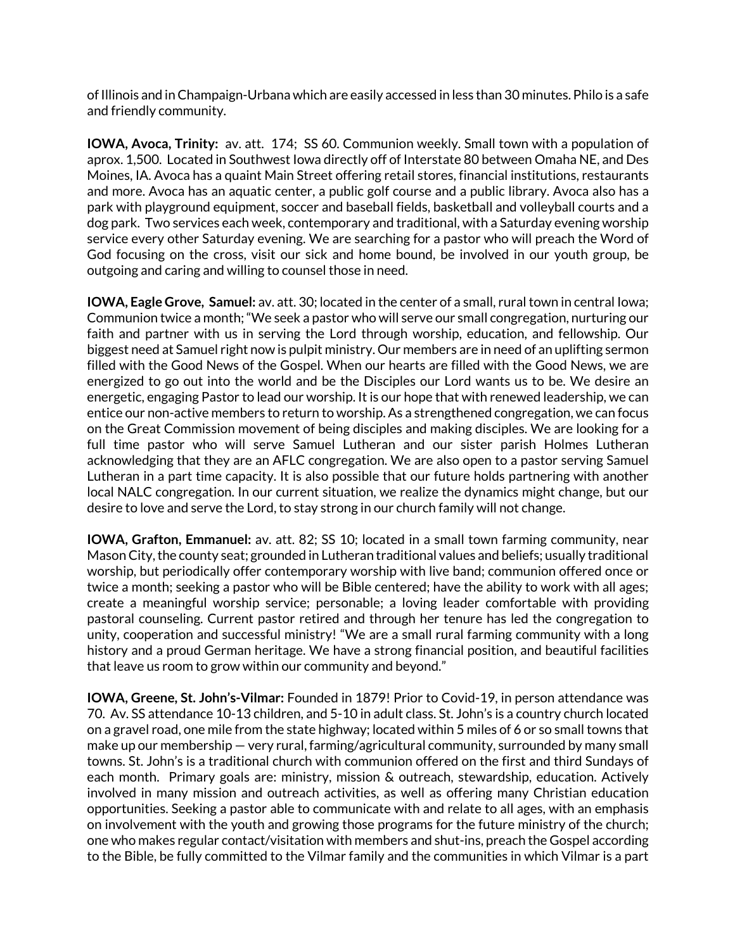of Illinois and in Champaign-Urbana which are easily accessed in less than 30 minutes. Philo is a safe and friendly community.

**IOWA, Avoca, Trinity:** av. att. 174; SS 60. Communion weekly. Small town with a population of aprox. 1,500. Located in Southwest Iowa directly off of Interstate 80 between Omaha NE, and Des Moines, IA. Avoca has a quaint Main Street offering retail stores, financial institutions, restaurants and more. Avoca has an aquatic center, a public golf course and a public library. Avoca also has a park with playground equipment, soccer and baseball fields, basketball and volleyball courts and a dog park. Two services each week, contemporary and traditional, with a Saturday evening worship service every other Saturday evening. We are searching for a pastor who will preach the Word of God focusing on the cross, visit our sick and home bound, be involved in our youth group, be outgoing and caring and willing to counsel those in need.

**IOWA, Eagle Grove, Samuel:** av. att. 30; located in the center of a small, rural town in central lowa; Communion twice a month;"We seek a pastor who will serve our small congregation, nurturing our faith and partner with us in serving the Lord through worship, education, and fellowship. Our biggest need at Samuel right now is pulpit ministry. Our members are in need of an uplifting sermon filled with the Good News of the Gospel. When our hearts are filled with the Good News, we are energized to go out into the world and be the Disciples our Lord wants us to be. We desire an energetic, engaging Pastor to lead our worship. It is our hope that with renewed leadership, we can entice our non-active members to return to worship. As a strengthened congregation, we can focus on the Great Commission movement of being disciples and making disciples. We are looking for a full time pastor who will serve Samuel Lutheran and our sister parish Holmes Lutheran acknowledging that they are an AFLC congregation. We are also open to a pastor serving Samuel Lutheran in a part time capacity. It is also possible that our future holds partnering with another local NALC congregation. In our current situation, we realize the dynamics might change, but our desire to love and serve the Lord, to stay strong in our church family will not change.

**IOWA, Grafton, Emmanuel:** av. att. 82; SS 10; located in a small town farming community, near Mason City, the county seat; grounded in Lutheran traditional values and beliefs; usually traditional worship, but periodically offer contemporary worship with live band; communion offered once or twice a month; seeking a pastor who will be Bible centered; have the ability to work with all ages; create a meaningful worship service; personable; a loving leader comfortable with providing pastoral counseling. Current pastor retired and through her tenure has led the congregation to unity, cooperation and successful ministry! "We are a small rural farming community with a long history and a proud German heritage. We have a strong financial position, and beautiful facilities that leave us room to grow within our community and beyond."

**IOWA, Greene, St. John's-Vilmar:** Founded in 1879! Prior to Covid-19, in person attendance was 70. Av. SS attendance 10-13 children, and 5-10 in adult class. St. John's is a country church located on a gravel road, one mile from the state highway; located within 5 miles of 6 or so small towns that make up our membership — very rural, farming/agricultural community, surrounded by many small towns. St. John's is a traditional church with communion offered on the first and third Sundays of each month. Primary goals are: ministry, mission & outreach, stewardship, education. Actively involved in many mission and outreach activities, as well as offering many Christian education opportunities. Seeking a pastor able to communicate with and relate to all ages, with an emphasis on involvement with the youth and growing those programs for the future ministry of the church; one who makes regular contact/visitation with members and shut-ins, preach the Gospel according to the Bible, be fully committed to the Vilmar family and the communities in which Vilmar is a part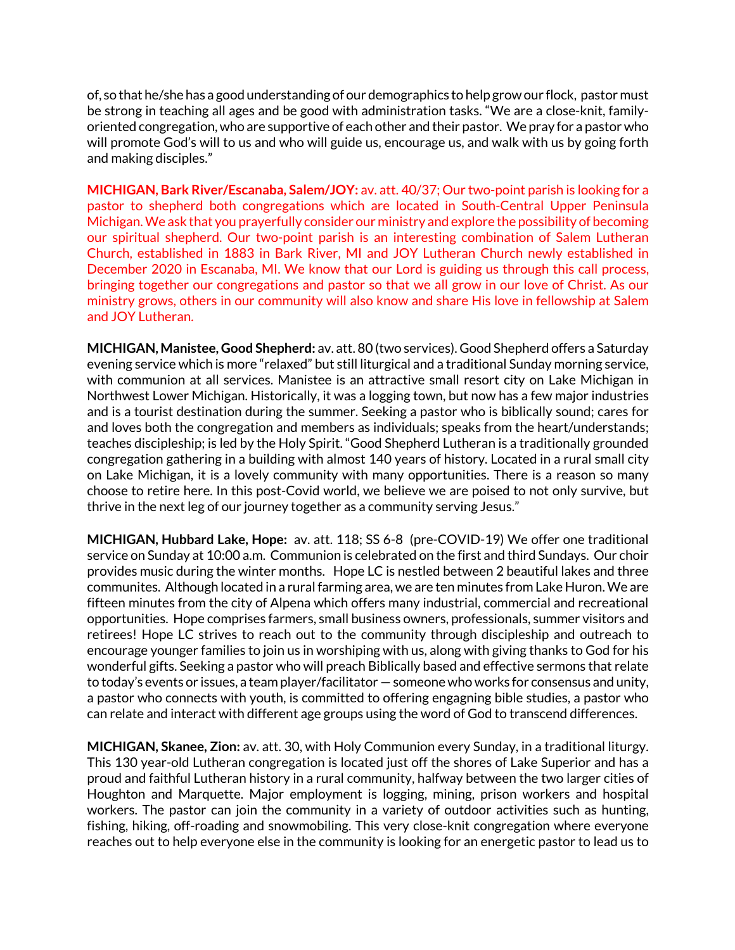of, so that he/she has a good understanding of our demographics to help grow our flock, pastor must be strong in teaching all ages and be good with administration tasks. "We are a close-knit, familyoriented congregation, who are supportive of each other and their pastor. We pray for a pastor who will promote God's will to us and who will guide us, encourage us, and walk with us by going forth and making disciples."

**MICHIGAN, Bark River/Escanaba, Salem/JOY:** av. att. 40/37; Our two-point parish is looking for a pastor to shepherd both congregations which are located in South-Central Upper Peninsula Michigan.We ask that you prayerfully consider our ministry and explore the possibility of becoming our spiritual shepherd. Our two-point parish is an interesting combination of Salem Lutheran Church, established in 1883 in Bark River, MI and JOY Lutheran Church newly established in December 2020 in Escanaba, MI. We know that our Lord is guiding us through this call process, bringing together our congregations and pastor so that we all grow in our love of Christ. As our ministry grows, others in our community will also know and share His love in fellowship at Salem and JOY Lutheran.

**MICHIGAN, Manistee, Good Shepherd:** av. att. 80 (two services). Good Shepherd offers a Saturday evening service which is more "relaxed" but still liturgical and a traditional Sunday morning service, with communion at all services. Manistee is an attractive small resort city on Lake Michigan in Northwest Lower Michigan. Historically, it was a logging town, but now has a few major industries and is a tourist destination during the summer. Seeking a pastor who is biblically sound; cares for and loves both the congregation and members as individuals; speaks from the heart/understands; teaches discipleship; is led by the Holy Spirit. "Good Shepherd Lutheran is a traditionally grounded congregation gathering in a building with almost 140 years of history. Located in a rural small city on Lake Michigan, it is a lovely community with many opportunities. There is a reason so many choose to retire here. In this post-Covid world, we believe we are poised to not only survive, but thrive in the next leg of our journey together as a community serving Jesus."

**MICHIGAN, Hubbard Lake, Hope:** av. att. 118; SS 6-8 (pre-COVID-19) We offer one traditional service on Sunday at 10:00 a.m. Communion is celebrated on the first and third Sundays. Our choir provides music during the winter months. Hope LC is nestled between 2 beautiful lakes and three communites. Although located in a rural farming area, we are ten minutes from Lake Huron. We are fifteen minutes from the city of Alpena which offers many industrial, commercial and recreational opportunities. Hope comprises farmers, small business owners, professionals, summer visitors and retirees! Hope LC strives to reach out to the community through discipleship and outreach to encourage younger families to join us in worshiping with us, along with giving thanks to God for his wonderful gifts. Seeking a pastor who will preach Biblically based and effective sermons that relate to today's events or issues, a team player/facilitator — someone who works for consensus and unity, a pastor who connects with youth, is committed to offering engagning bible studies, a pastor who can relate and interact with different age groups using the word of God to transcend differences.

**MICHIGAN, Skanee, Zion:** av. att. 30, with Holy Communion every Sunday, in a traditional liturgy. This 130 year-old Lutheran congregation is located just off the shores of Lake Superior and has a proud and faithful Lutheran history in a rural community, halfway between the two larger cities of Houghton and Marquette. Major employment is logging, mining, prison workers and hospital workers. The pastor can join the community in a variety of outdoor activities such as hunting, fishing, hiking, off-roading and snowmobiling. This very close-knit congregation where everyone reaches out to help everyone else in the community is looking for an energetic pastor to lead us to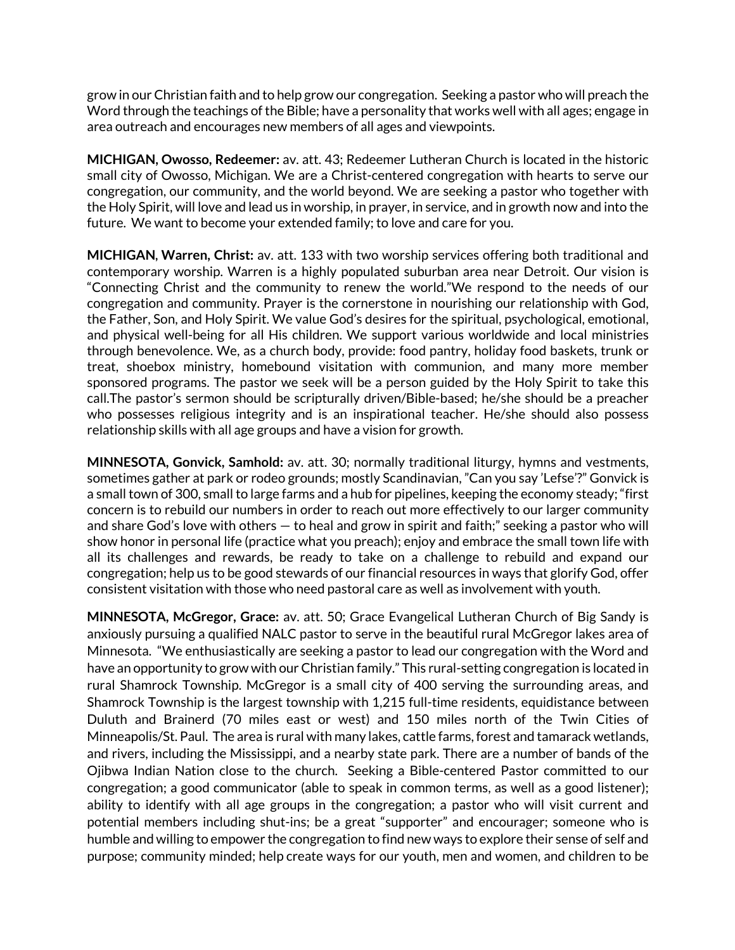grow in our Christian faith and to help grow our congregation. Seeking a pastor who will preach the Word through the teachings of the Bible; have a personality that works well with all ages; engage in area outreach and encourages new members of all ages and viewpoints.

**MICHIGAN, Owosso, Redeemer:** av. att. 43; Redeemer Lutheran Church is located in the historic small city of Owosso, Michigan. We are a Christ-centered congregation with hearts to serve our congregation, our community, and the world beyond. We are seeking a pastor who together with the Holy Spirit, will love and lead us in worship, in prayer, in service, and in growth now and into the future. We want to become your extended family; to love and care for you.

**MICHIGAN, Warren, Christ:** av. att. 133 with two worship services offering both traditional and contemporary worship. Warren is a highly populated suburban area near Detroit. Our vision is "Connecting Christ and the community to renew the world."We respond to the needs of our congregation and community. Prayer is the cornerstone in nourishing our relationship with God, the Father, Son, and Holy Spirit. We value God's desires for the spiritual, psychological, emotional, and physical well-being for all His children. We support various worldwide and local ministries through benevolence. We, as a church body, provide: food pantry, holiday food baskets, trunk or treat, shoebox ministry, homebound visitation with communion, and many more member sponsored programs. The pastor we seek will be a person guided by the Holy Spirit to take this call.The pastor's sermon should be scripturally driven/Bible-based; he/she should be a preacher who possesses religious integrity and is an inspirational teacher. He/she should also possess relationship skills with all age groups and have a vision for growth.

**MINNESOTA, Gonvick, Samhold:** av. att. 30; normally traditional liturgy, hymns and vestments, sometimes gather at park or rodeo grounds; mostly Scandinavian, "Can you say 'Lefse'?" Gonvick is a small town of 300, small to large farms and a hub for pipelines, keeping the economy steady; "first concern is to rebuild our numbers in order to reach out more effectively to our larger community and share God's love with others — to heal and grow in spirit and faith;" seeking a pastor who will show honor in personal life (practice what you preach); enjoy and embrace the small town life with all its challenges and rewards, be ready to take on a challenge to rebuild and expand our congregation; help us to be good stewards of our financial resources in ways that glorify God, offer consistent visitation with those who need pastoral care as well as involvement with youth.

**MINNESOTA, McGregor, Grace:** av. att. 50; Grace Evangelical Lutheran Church of Big Sandy is anxiously pursuing a qualified NALC pastor to serve in the beautiful rural McGregor lakes area of Minnesota. "We enthusiastically are seeking a pastor to lead our congregation with the Word and have an opportunity to grow with our Christian family." This rural-setting congregation is located in rural Shamrock Township. McGregor is a small city of 400 serving the surrounding areas, and Shamrock Township is the largest township with 1,215 full-time residents, equidistance between Duluth and Brainerd (70 miles east or west) and 150 miles north of the Twin Cities of Minneapolis/St. Paul. The area is rural with many lakes, cattle farms, forest and tamarack wetlands, and rivers, including the Mississippi, and a nearby state park. There are a number of bands of the Ojibwa Indian Nation close to the church. Seeking a Bible-centered Pastor committed to our congregation; a good communicator (able to speak in common terms, as well as a good listener); ability to identify with all age groups in the congregation; a pastor who will visit current and potential members including shut-ins; be a great "supporter" and encourager; someone who is humble and willing to empower the congregation to find new ways to explore their sense of self and purpose; community minded; help create ways for our youth, men and women, and children to be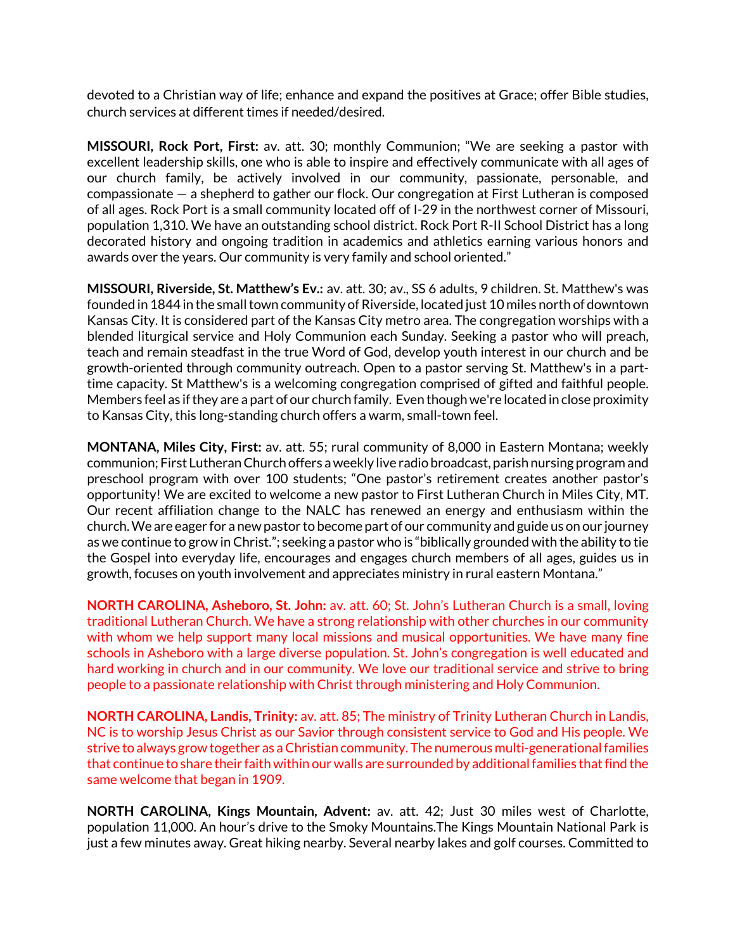devoted to a Christian way of life; enhance and expand the positives at Grace; offer Bible studies, church services at different times if needed/desired.

**MISSOURI, Rock Port, First:** av. att. 30; monthly Communion; "We are seeking a pastor with excellent leadership skills, one who is able to inspire and effectively communicate with all ages of our church family, be actively involved in our community, passionate, personable, and compassionate — a shepherd to gather our flock. Our congregation at First Lutheran is composed of all ages. Rock Port is a small community located off of I-29 in the northwest corner of Missouri, population 1,310. We have an outstanding school district. Rock Port R-II School District has a long decorated history and ongoing tradition in academics and athletics earning various honors and awards over the years. Our community is very family and school oriented."

**MISSOURI, Riverside, St. Matthew's Ev.:** av. att. 30; av., SS 6 adults, 9 children. St. Matthew's was founded in 1844 in the small town community of Riverside, located just 10 miles north of downtown Kansas City. It is considered part of the Kansas City metro area. The congregation worships with a blended liturgical service and Holy Communion each Sunday. Seeking a pastor who will preach, teach and remain steadfast in the true Word of God, develop youth interest in our church and be growth-oriented through community outreach. Open to a pastor serving St. Matthew's in a parttime capacity. St Matthew's is a welcoming congregation comprised of gifted and faithful people. Members feel as ifthey are a part of our church family. Even thoughwe're located in close proximity to Kansas City, this long-standing church offers a warm, small-town feel.

**MONTANA, Miles City, First:** av. att. 55; rural community of 8,000 in Eastern Montana; weekly communion; First LutheranChurch offers aweekly live radio broadcast, parish nursing program and preschool program with over 100 students; "One pastor's retirement creates another pastor's opportunity! We are excited to welcome a new pastor to First Lutheran Church in Miles City, MT. Our recent affiliation change to the NALC has renewed an energy and enthusiasm within the church.We are eager for a newpastor to become part of our community and guide us on our journey as we continue to grow inChrist."; seeking a pastor who is "biblically grounded with the ability to tie the Gospel into everyday life, encourages and engages church members of all ages, guides us in growth, focuses on youth involvement and appreciates ministry in rural eastern Montana."

**NORTH CAROLINA, Asheboro, St. John:** av. att. 60; St. John's Lutheran Church is a small, loving traditional Lutheran Church. We have a strong relationship with other churches in our community with whom we help support many local missions and musical opportunities. We have many fine schools in Asheboro with a large diverse population. St. John's congregation is well educated and hard working in church and in our community. We love our traditional service and strive to bring people to a passionate relationship with Christ through ministering and Holy Communion.

**NORTH CAROLINA, Landis, Trinity:** av. att. 85; The ministry of Trinity Lutheran Church in Landis, NC is to worship Jesus Christ as our Savior through consistent service to God and His people. We strive to always grow together as a Christian community. The numerous multi-generationalfamilies that continue to share their faith within our walls are surrounded by additional families that find the same welcome that began in 1909.

**NORTH CAROLINA, Kings Mountain, Advent:** av. att. 42; Just 30 miles west of Charlotte, population 11,000. An hour's drive to the Smoky Mountains.The Kings Mountain National Park is just a few minutes away. Great hiking nearby. Several nearby lakes and golf courses. Committed to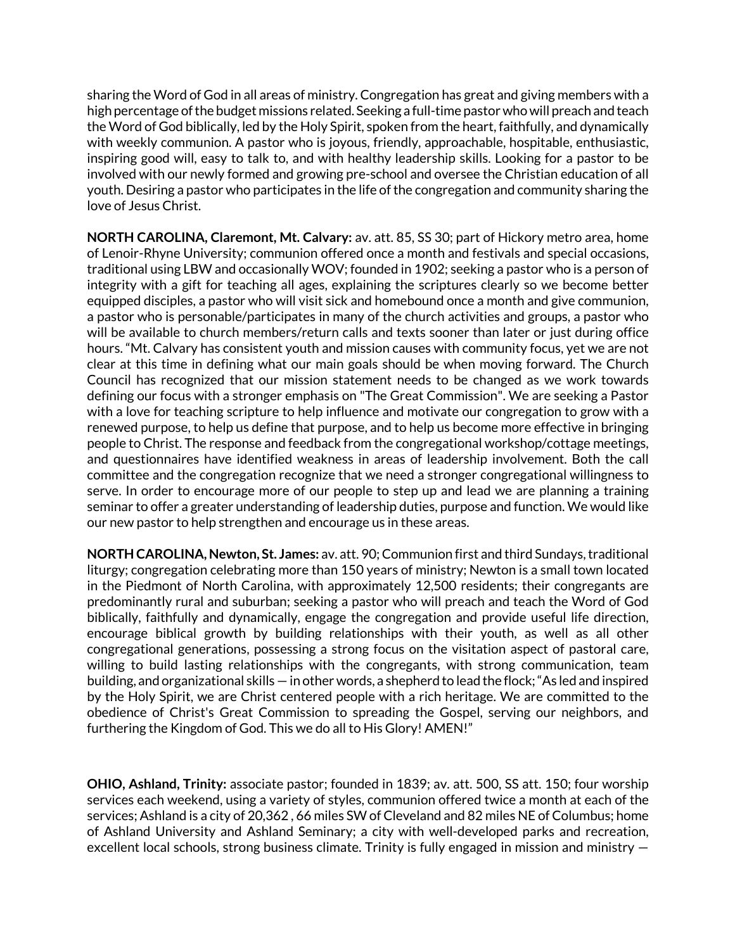sharing the Word of God in all areas of ministry. Congregation has great and giving members with a high percentage ofthe budget missions related. Seeking a full-time pastorwhowill preach and teach the Word of God biblically, led by the Holy Spirit, spoken from the heart, faithfully, and dynamically with weekly communion. A pastor who is joyous, friendly, approachable, hospitable, enthusiastic, inspiring good will, easy to talk to, and with healthy leadership skills. Looking for a pastor to be involved with our newly formed and growing pre-school and oversee the Christian education of all youth. Desiring a pastor who participates in the life of the congregation and community sharing the love of Jesus Christ.

**NORTH CAROLINA, Claremont, Mt. Calvary:** av. att. 85, SS 30; part of Hickory metro area, home of Lenoir-Rhyne University; communion offered once a month and festivals and special occasions, traditional using LBW and occasionally WOV; founded in 1902; seeking a pastor who is a person of integrity with a gift for teaching all ages, explaining the scriptures clearly so we become better equipped disciples, a pastor who will visit sick and homebound once a month and give communion, a pastor who is personable/participates in many of the church activities and groups, a pastor who will be available to church members/return calls and texts sooner than later or just during office hours. "Mt. Calvary has consistent youth and mission causes with community focus, yet we are not clear at this time in defining what our main goals should be when moving forward. The Church Council has recognized that our mission statement needs to be changed as we work towards defining our focus with a stronger emphasis on "The Great Commission". We are seeking a Pastor with a love for teaching scripture to help influence and motivate our congregation to grow with a renewed purpose, to help us define that purpose, and to help us become more effective in bringing people to Christ. The response and feedback from the congregational workshop/cottage meetings, and questionnaires have identified weakness in areas of leadership involvement. Both the call committee and the congregation recognize that we need a stronger congregational willingness to serve. In order to encourage more of our people to step up and lead we are planning a training seminar to offer a greater understanding of leadership duties, purpose and function. We would like our new pastor to help strengthen and encourage us in these areas.

**NORTH CAROLINA, Newton, St. James:** av. att. 90;Communion first and third Sundays, traditional liturgy; congregation celebrating more than 150 years of ministry; Newton is a small town located in the Piedmont of North Carolina, with approximately 12,500 residents; their congregants are predominantly rural and suburban; seeking a pastor who will preach and teach the Word of God biblically, faithfully and dynamically, engage the congregation and provide useful life direction, encourage biblical growth by building relationships with their youth, as well as all other congregational generations, possessing a strong focus on the visitation aspect of pastoral care, willing to build lasting relationships with the congregants, with strong communication, team building, and organizational skills — in other words, a shepherd to lead the flock; "As led and inspired by the Holy Spirit, we are Christ centered people with a rich heritage. We are committed to the obedience of Christ's Great Commission to spreading the Gospel, serving our neighbors, and furthering the Kingdom of God. This we do all to His Glory! AMEN!"

**OHIO, Ashland, Trinity:** associate pastor; founded in 1839; av. att. 500, SS att. 150; four worship services each weekend, using a variety of styles, communion offered twice a month at each of the services; Ashland is a city of 20,362 , 66 miles SW of Cleveland and 82 miles NE of Columbus; home of Ashland University and Ashland Seminary; a city with well-developed parks and recreation, excellent local schools, strong business climate. Trinity is fully engaged in mission and ministry —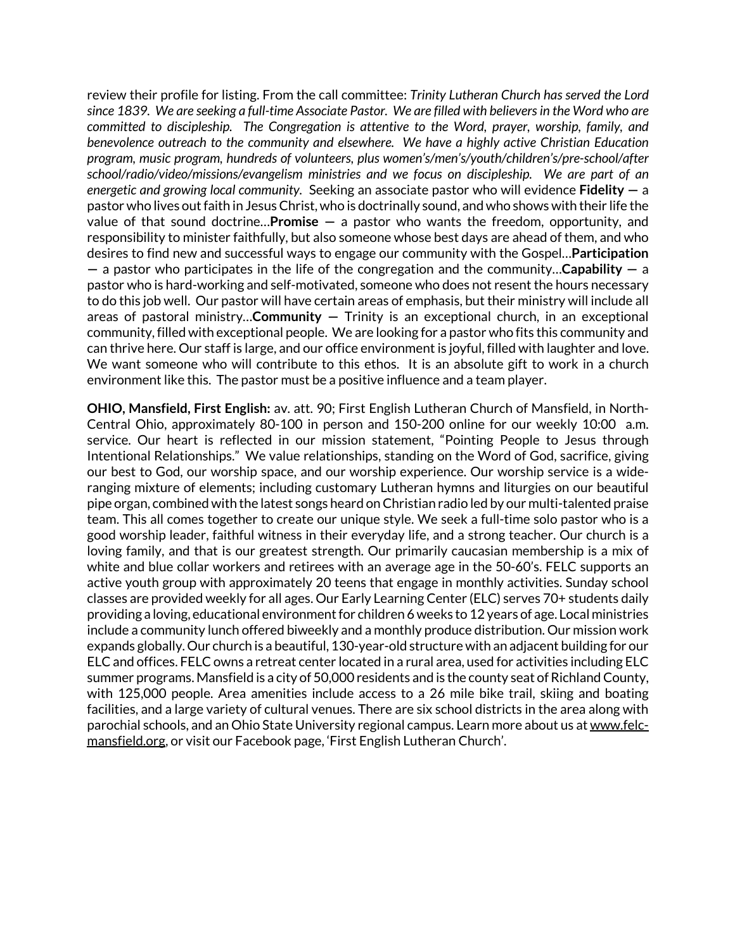review their profile for listing. From the call committee: *Trinity Lutheran Church has served the Lord since 1839. We are seeking a full-time Associate Pastor. We are filled with believers in the Word who are committed to discipleship. The Congregation is attentive to the Word, prayer, worship, family, and benevolence outreach to the community and elsewhere. We have a highly active Christian Education program, music program, hundreds of volunteers, plus women's/men's/youth/children's/pre-school/after school/radio/video/missions/evangelism ministries and we focus on discipleship. We are part of an energetic and growing local community.* Seeking an associate pastor who will evidence **Fidelity —** a pastor who lives out faith in Jesus Christ, who is doctrinally sound, and who shows with their life the value of that sound doctrine…**Promise —** a pastor who wants the freedom, opportunity, and responsibility to minister faithfully, but also someone whose best days are ahead of them, and who desires to find new and successful ways to engage our community with the Gospel…**Participation —** a pastor who participates in the life of the congregation and the community…**Capability —** a pastor who is hard-working and self-motivated, someone who does not resent the hours necessary to do this job well. Our pastor will have certain areas of emphasis, but their ministry will include all areas of pastoral ministry…**Community —** Trinity is an exceptional church, in an exceptional community, filled with exceptional people. We are looking for a pastor who fits this community and can thrive here. Our staff is large, and our office environment is joyful, filled with laughter and love. We want someone who will contribute to this ethos. It is an absolute gift to work in a church environment like this. The pastor must be a positive influence and a team player.

**OHIO, Mansfield, First English:** av. att. 90; First English Lutheran Church of Mansfield, in North-Central Ohio, approximately 80-100 in person and 150-200 online for our weekly 10:00 a.m. service. Our heart is reflected in our mission statement, "Pointing People to Jesus through Intentional Relationships." We value relationships, standing on the Word of God, sacrifice, giving our best to God, our worship space, and our worship experience. Our worship service is a wideranging mixture of elements; including customary Lutheran hymns and liturgies on our beautiful pipe organ, combined with the latest songs heard on Christian radio led by our multi-talented praise team. This all comes together to create our unique style. We seek a full-time solo pastor who is a good worship leader, faithful witness in their everyday life, and a strong teacher. Our church is a loving family, and that is our greatest strength. Our primarily caucasian membership is a mix of white and blue collar workers and retirees with an average age in the 50-60's. FELC supports an active youth group with approximately 20 teens that engage in monthly activities. Sunday school classes are provided weekly for all ages. Our Early Learning Center (ELC) serves 70+ students daily providing a loving, educational environment for children 6 weeks to 12 years of age. Local ministries include a community lunch offered biweekly and a monthly produce distribution. Our mission work expands globally. Our church is a beautiful, 130-year-old structure with an adjacent building for our ELC and offices. FELC owns a retreat center located in a rural area, used for activities including ELC summer programs. Mansfield is a city of 50,000 residents and is the county seat of Richland County, with 125,000 people. Area amenities include access to a 26 mile bike trail, skiing and boating facilities, and a large variety of cultural venues. There are six school districts in the area along with parochial schools, and an Ohio State University regional campus. Learn more about us at www.felcmansfield.org, or visit our Facebook page, 'First English Lutheran Church'.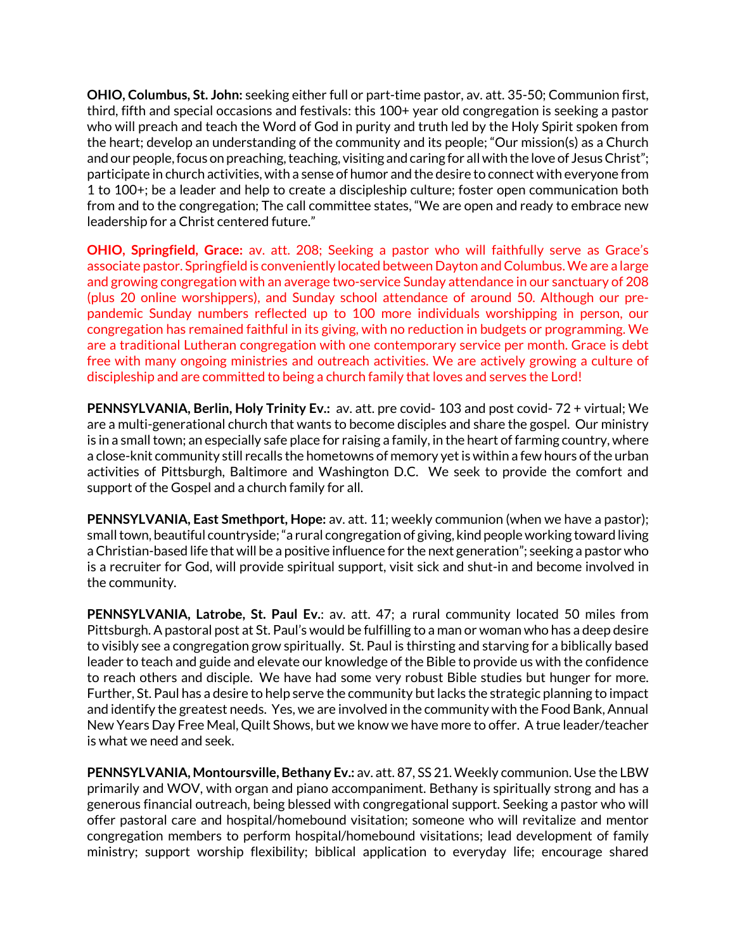**OHIO, Columbus, St. John:** seeking either full or part-time pastor, av. att. 35-50; Communion first, third, fifth and special occasions and festivals: this 100+ year old congregation is seeking a pastor who will preach and teach the Word of God in purity and truth led by the Holy Spirit spoken from the heart; develop an understanding of the community and its people; "Our mission(s) as a Church and our people, focus on preaching, teaching, visiting and caring for all with the love of Jesus Christ"; participate in church activities, with a sense of humor and the desire to connect with everyone from 1 to 100+; be a leader and help to create a discipleship culture; foster open communication both from and to the congregation; The call committee states, "We are open and ready to embrace new leadership for a Christ centered future."

**OHIO, Springfield, Grace:** av. att. 208; Seeking a pastor who will faithfully serve as Grace's associate pastor. Springfield is conveniently located between Dayton and Columbus. We are a large and growing congregation with an average two-service Sunday attendance in our sanctuary of 208 (plus 20 online worshippers), and Sunday school attendance of around 50. Although our prepandemic Sunday numbers reflected up to 100 more individuals worshipping in person, our congregation has remained faithful in its giving, with no reduction in budgets or programming. We are a traditional Lutheran congregation with one contemporary service per month. Grace is debt free with many ongoing ministries and outreach activities. We are actively growing a culture of discipleship and are committed to being a church family that loves and serves the Lord!

**PENNSYLVANIA, Berlin, Holy Trinity Ev.:** av. att. pre covid- 103 and post covid- 72 + virtual; We are a multi-generational church that wants to become disciples and share the gospel. Our ministry is in a small town; an especially safe place for raising a family, in the heart of farming country, where a close-knit community still recalls the hometowns of memory yet is within a few hours of the urban activities of Pittsburgh, Baltimore and Washington D.C. We seek to provide the comfort and support of the Gospel and a church family for all.

**PENNSYLVANIA, East Smethport, Hope:** av. att. 11; weekly communion (when we have a pastor); smalltown, beautiful countryside;"a rural congregation of giving, kind peopleworking toward living aChristian-based life that will be a positive influence for the next generation"; seeking a pastor who is a recruiter for God, will provide spiritual support, visit sick and shut-in and become involved in the community.

**PENNSYLVANIA, Latrobe, St. Paul Ev.**: av. att. 47; a rural community located 50 miles from Pittsburgh. A pastoral post at St. Paul's would be fulfilling to a man or woman who has a deep desire to visibly see a congregation grow spiritually. St. Paul is thirsting and starving for a biblically based leader to teach and guide and elevate our knowledge of the Bible to provide us with the confidence to reach others and disciple. We have had some very robust Bible studies but hunger for more. Further, St. Paul has a desire to help serve the community but lacks the strategic planning to impact and identify the greatest needs. Yes, we are involved in the community with the Food Bank, Annual New Years Day Free Meal, Quilt Shows, but we know we have more to offer. A true leader/teacher is what we need and seek.

**PENNSYLVANIA, Montoursville, Bethany Ev.:** av. att. 87, SS 21. Weekly communion. Use the LBW primarily and WOV, with organ and piano accompaniment. Bethany is spiritually strong and has a generous financial outreach, being blessed with congregational support. Seeking a pastor who will offer pastoral care and hospital/homebound visitation; someone who will revitalize and mentor congregation members to perform hospital/homebound visitations; lead development of family ministry; support worship flexibility; biblical application to everyday life; encourage shared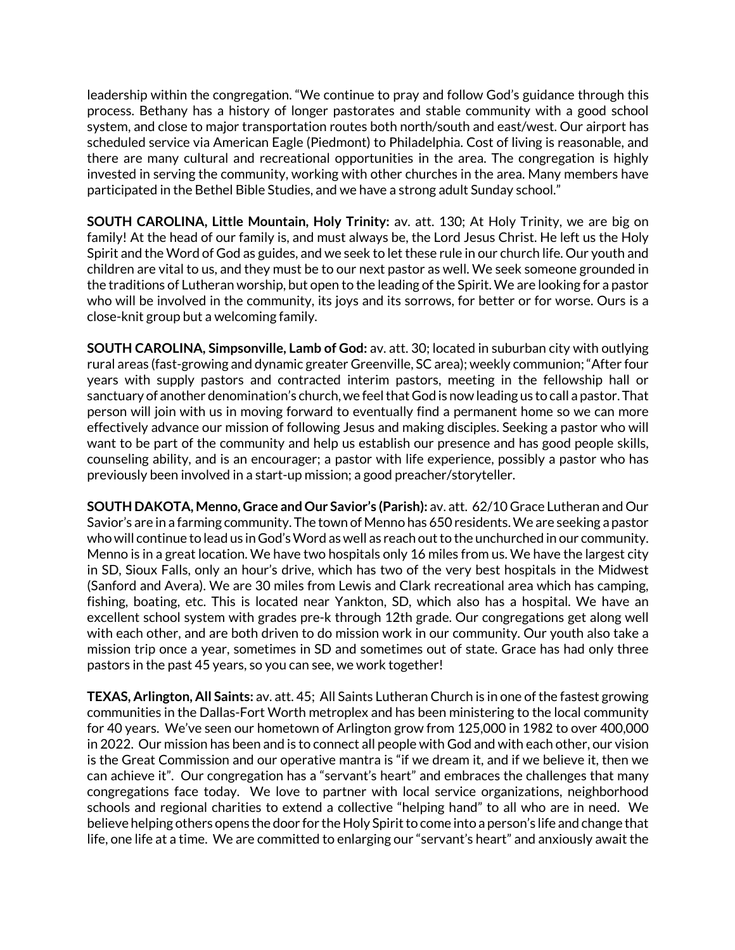leadership within the congregation. "We continue to pray and follow God's guidance through this process. Bethany has a history of longer pastorates and stable community with a good school system, and close to major transportation routes both north/south and east/west. Our airport has scheduled service via American Eagle (Piedmont) to Philadelphia. Cost of living is reasonable, and there are many cultural and recreational opportunities in the area. The congregation is highly invested in serving the community, working with other churches in the area. Many members have participated in the Bethel Bible Studies, and we have a strong adult Sunday school."

**SOUTH CAROLINA, Little Mountain, Holy Trinity:** av. att. 130; At Holy Trinity, we are big on family! At the head of our family is, and must always be, the Lord Jesus Christ. He left us the Holy Spirit and the Word of God as guides, and we seek to let these rule in our church life. Our youth and children are vital to us, and they must be to our next pastor as well. We seek someone grounded in the traditions of Lutheran worship, but open to the leading ofthe Spirit. We are looking for a pastor who will be involved in the community, its joys and its sorrows, for better or for worse. Ours is a close-knit group but a welcoming family.

**SOUTH CAROLINA, Simpsonville, Lamb of God:** av. att. 30; located in suburban city with outlying rural areas (fast-growing and dynamic greater Greenville, SC area); weekly communion;"After four years with supply pastors and contracted interim pastors, meeting in the fellowship hall or sanctuary of another denomination's church,we feelthat God is nowleading us to call a pastor. That person will join with us in moving forward to eventually find a permanent home so we can more effectively advance our mission of following Jesus and making disciples. Seeking a pastor who will want to be part of the community and help us establish our presence and has good people skills, counseling ability, and is an encourager; a pastor with life experience, possibly a pastor who has previously been involved in a start-up mission; a good preacher/storyteller.

**SOUTH DAKOTA, Menno, Grace and Our Savior's (Parish):** av. att. 62/10 Grace Lutheran and Our Savior's are in a farming community. The town of Menno has 650 residents. We are seeking a pastor who will continue to lead us in God's Word as well as reach out to the unchurched in our community. Menno is in a great location. We have two hospitals only 16 miles from us. We have the largest city in SD, Sioux Falls, only an hour's drive, which has two of the very best hospitals in the Midwest (Sanford and Avera). We are 30 miles from Lewis and Clark recreational area which has camping, fishing, boating, etc. This is located near Yankton, SD, which also has a hospital. We have an excellent school system with grades pre-k through 12th grade. Our congregations get along well with each other, and are both driven to do mission work in our community. Our youth also take a mission trip once a year, sometimes in SD and sometimes out of state. Grace has had only three pastors in the past 45 years, so you can see, we work together!

**TEXAS, Arlington, All Saints:** av. att. 45; All Saints Lutheran Church is in one of the fastest growing communities in the Dallas-Fort Worth metroplex and has been ministering to the local community for 40 years. We've seen our hometown of Arlington grow from 125,000 in 1982 to over 400,000 in 2022. Our mission has been and is to connect all people with God and with each other, our vision is the Great Commission and our operative mantra is "if we dream it, and if we believe it, then we can achieve it".Our congregation has a "servant's heart" and embraces the challenges that many congregations face today. We love to partner with local service organizations, neighborhood schools and regional charities to extend a collective "helping hand" to all who are in need. We believe helping others opens the door for the Holy Spirit to come into a person's life and change that life, one life at a time. We are committed to enlarging our "servant's heart" and anxiously await the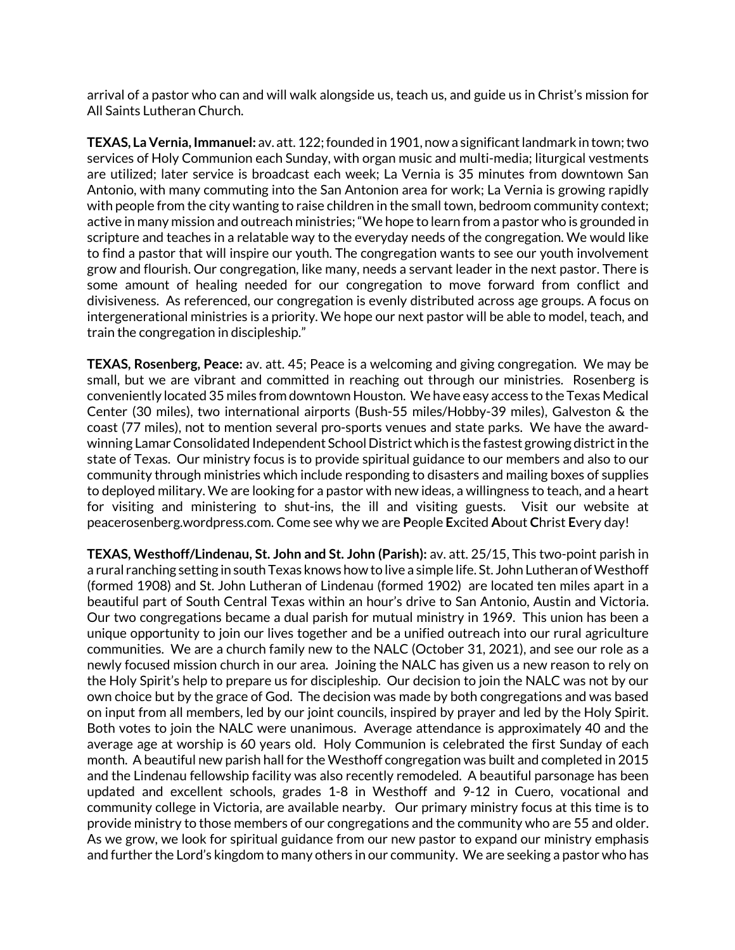arrival of a pastor who can and will walk alongside us, teach us, and guide us in Christ's mission for All Saints Lutheran Church.

**TEXAS, La Vernia,Immanuel:** av. att. 122;founded in 1901, nowa significantlandmark in town;two services of Holy Communion each Sunday, with organ music and multi-media; liturgical vestments are utilized; later service is broadcast each week; La Vernia is 35 minutes from downtown San Antonio, with many commuting into the San Antonion area for work; La Vernia is growing rapidly with people from the city wanting to raise children in the small town, bedroom community context; active in many mission and outreach ministries;"We hope to learn from a pastor who is grounded in scripture and teaches in a relatable way to the everyday needs of the congregation. We would like to find a pastor that will inspire our youth. The congregation wants to see our youth involvement grow and flourish. Our congregation, like many, needs a servant leader in the next pastor. There is some amount of healing needed for our congregation to move forward from conflict and divisiveness. As referenced, our congregation is evenly distributed across age groups. A focus on intergenerational ministries is a priority. We hope our next pastor will be able to model, teach, and train the congregation in discipleship."

**TEXAS, Rosenberg, Peace:** av. att. 45; Peace is a welcoming and giving congregation. We may be small, but we are vibrant and committed in reaching out through our ministries. Rosenberg is conveniently located 35 miles from downtown Houston. We have easy access to the Texas Medical Center (30 miles), two international airports (Bush-55 miles/Hobby-39 miles), Galveston & the coast (77 miles), not to mention several pro-sports venues and state parks. We have the awardwinning Lamar Consolidated Independent School District which is the fastest growing district in the state of Texas. Our ministry focus is to provide spiritual guidance to our members and also to our community through ministries which include responding to disasters and mailing boxes of supplies to deployed military. We are looking for a pastor with new ideas, a willingness to teach, and a heart for visiting and ministering to shut-ins, the ill and visiting guests. Visit our website at peacerosenberg.wordpress.com. Come see why we are **P**eople **E**xcited **A**bout **C**hrist **E**very day!

**TEXAS, Westhoff/Lindenau, St. John and St. John (Parish):** av. att. 25/15, This two-point parish in a rural ranching setting in south Texas knows how to live a simple life. St. John Lutheran of Westhoff (formed 1908) and St. John Lutheran of Lindenau (formed 1902) are located ten miles apart in a beautiful part of South Central Texas within an hour's drive to San Antonio, Austin and Victoria. Our two congregations became a dual parish for mutual ministry in 1969. This union has been a unique opportunity to join our lives together and be a unified outreach into our rural agriculture communities. We are a church family new to the NALC (October 31, 2021), and see our role as a newly focused mission church in our area. Joining the NALC has given us a new reason to rely on the Holy Spirit's help to prepare us for discipleship. Our decision to join the NALC was not by our own choice but by the grace of God. The decision was made by both congregations and was based on input from all members, led by our joint councils, inspired by prayer and led by the Holy Spirit. Both votes to join the NALC were unanimous. Average attendance is approximately 40 and the average age at worship is 60 years old. Holy Communion is celebrated the first Sunday of each month. A beautiful new parish hall for the Westhoff congregation was built and completed in 2015 and the Lindenau fellowship facility was also recently remodeled. A beautiful parsonage has been updated and excellent schools, grades 1-8 in Westhoff and 9-12 in Cuero, vocational and community college in Victoria, are available nearby. Our primary ministry focus at this time is to provide ministry to those members of our congregations and the community who are 55 and older. As we grow, we look for spiritual guidance from our new pastor to expand our ministry emphasis and further the Lord's kingdom to many others in our community. We are seeking a pastor who has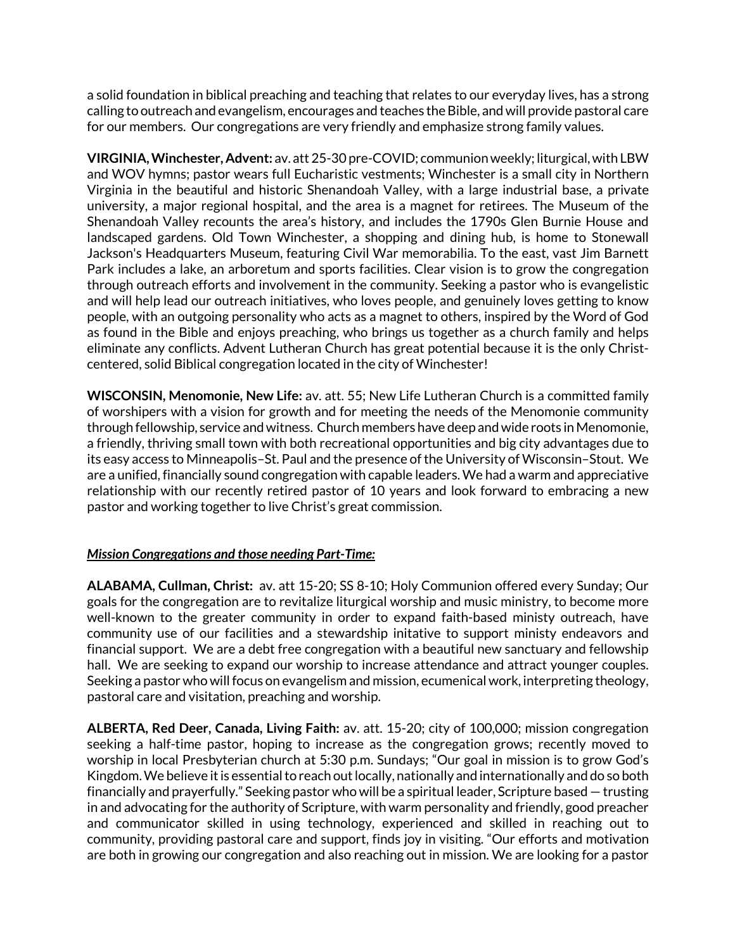a solid foundation in biblical preaching and teaching that relates to our everyday lives, has a strong calling to outreach and evangelism, encourages and teaches the Bible, and will provide pastoral care for our members. Our congregations are very friendly and emphasize strong family values.

**VIRGINIA, Winchester, Advent:** av. att 25-30 pre-COVID; communion weekly; liturgical, with LBW and WOV hymns; pastor wears full Eucharistic vestments; Winchester is a small city in Northern Virginia in the beautiful and historic Shenandoah Valley, with a large industrial base, a private university, a major regional hospital, and the area is a magnet for retirees. The Museum of the Shenandoah Valley recounts the area's history, and includes the 1790s Glen Burnie House and landscaped gardens. Old Town Winchester, a shopping and dining hub, is home to Stonewall Jackson's Headquarters Museum, featuring Civil War memorabilia. To the east, vast Jim Barnett Park includes a lake, an arboretum and sports facilities. Clear vision is to grow the congregation through outreach efforts and involvement in the community. Seeking a pastor who is evangelistic and will help lead our outreach initiatives, who loves people, and genuinely loves getting to know people, with an outgoing personality who acts as a magnet to others, inspired by the Word of God as found in the Bible and enjoys preaching, who brings us together as a church family and helps eliminate any conflicts. Advent Lutheran Church has great potential because it is the only Christcentered, solid Biblical congregation located in the city of Winchester!

**WISCONSIN, Menomonie, New Life:** av. att. 55; New Life Lutheran Church is a committed family of worshipers with a vision for growth and for meeting the needs of the Menomonie community through fellowship, service and witness. Church members have deep and wide roots in Menomonie, a friendly, thriving small town with both recreational opportunities and big city advantages due to its easy access to Minneapolis–St. Paul and the presence of the University of Wisconsin–Stout. We are a unified, financially sound congregation with capable leaders. We had a warm and appreciative relationship with our recently retired pastor of 10 years and look forward to embracing a new pastor and working together to live Christ's great commission.

## *Mission Congregations and those needing Part-Time:*

**ALABAMA, Cullman, Christ:** av. att 15-20; SS 8-10; Holy Communion offered every Sunday; Our goals for the congregation are to revitalize liturgical worship and music ministry, to become more well-known to the greater community in order to expand faith-based ministy outreach, have community use of our facilities and a stewardship initative to support ministy endeavors and financial support. We are a debt free congregation with a beautiful new sanctuary and fellowship hall. We are seeking to expand our worship to increase attendance and attract younger couples. Seeking a pastor who will focus on evangelism and mission, ecumenical work, interpreting theology, pastoral care and visitation, preaching and worship.

**ALBERTA, Red Deer, Canada, Living Faith:** av. att. 15-20; city of 100,000; mission congregation seeking a half-time pastor, hoping to increase as the congregation grows; recently moved to worship in local Presbyterian church at 5:30 p.m. Sundays; "Our goal in mission is to grow God's Kingdom. We believe it is essential to reach out locally, nationally and internationally and do so both financially and prayerfully." Seeking pastor who will be a spiritual leader, Scripture based — trusting in and advocating for the authority of Scripture, with warm personality and friendly, good preacher and communicator skilled in using technology, experienced and skilled in reaching out to community, providing pastoral care and support, finds joy in visiting. "Our efforts and motivation are both in growing our congregation and also reaching out in mission. We are looking for a pastor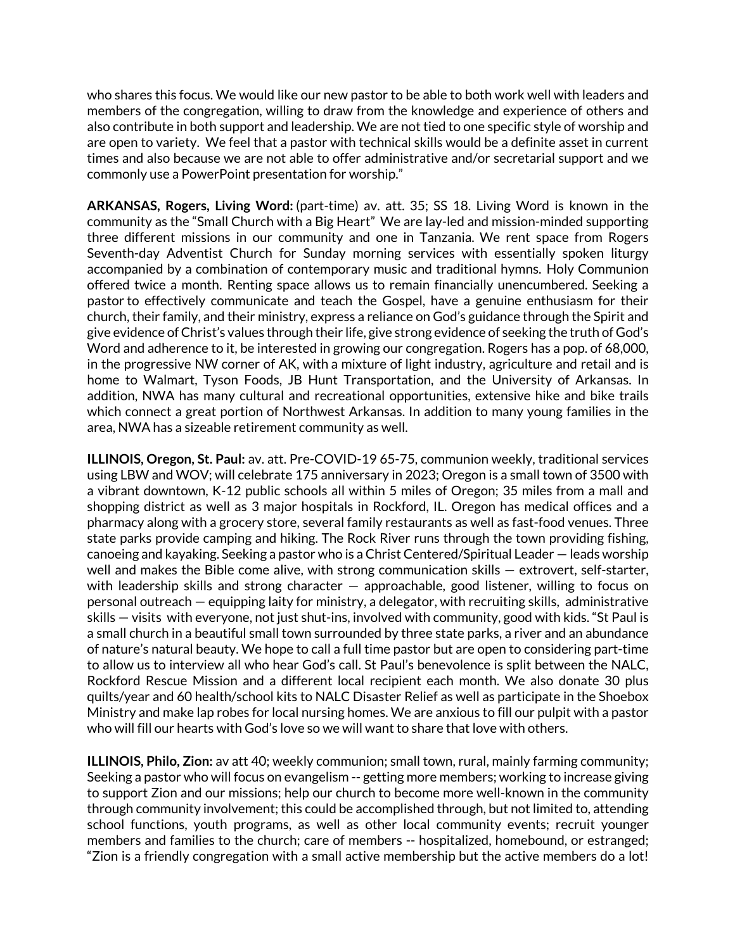who shares this focus. We would like our new pastor to be able to both work well with leaders and members of the congregation, willing to draw from the knowledge and experience of others and also contribute in both support and leadership. We are not tied to one specific style of worship and are open to variety. We feel that a pastor with technical skills would be a definite asset in current times and also because we are not able to offer administrative and/or secretarial support and we commonly use a PowerPoint presentation for worship."

**ARKANSAS, Rogers, Living Word:** (part-time) av. att. 35; SS 18. Living Word is known in the community as the "Small Church with a Big Heart" We are lay-led and mission-minded supporting three different missions in our community and one in Tanzania. We rent space from Rogers Seventh-day Adventist Church for Sunday morning services with essentially spoken liturgy accompanied by a combination of contemporary music and traditional hymns. Holy Communion offered twice a month. Renting space allows us to remain financially unencumbered. Seeking a pastor to effectively communicate and teach the Gospel, have a genuine enthusiasm for their church, their family, and their ministry, express a reliance on God's guidance through the Spirit and give evidence of Christ's values through their life, give strong evidence of seeking the truth of God's Word and adherence to it, be interested in growing our congregation. Rogers has a pop. of 68,000, in the progressive NW corner of AK, with a mixture of light industry, agriculture and retail and is home to Walmart, Tyson Foods, JB Hunt Transportation, and the University of Arkansas. In addition, NWA has many cultural and recreational opportunities, extensive hike and bike trails which connect a great portion of Northwest Arkansas. In addition to many young families in the area, NWA has a sizeable retirement community as well.

**ILLINOIS, Oregon, St. Paul:** av. att. Pre-COVID-19 65-75, communion weekly, traditional services using LBW and WOV; will celebrate 175 anniversary in 2023; Oregon is a small town of 3500 with a vibrant downtown, K-12 public schools all within 5 miles of Oregon; 35 miles from a mall and shopping district as well as 3 major hospitals in Rockford, IL. Oregon has medical offices and a pharmacy along with a grocery store, several family restaurants as well as fast-food venues. Three state parks provide camping and hiking. The Rock River runs through the town providing fishing, canoeing and kayaking. Seeking a pastor who is a Christ Centered/Spiritual Leader — leads worship well and makes the Bible come alive, with strong communication skills — extrovert, self-starter, with leadership skills and strong character – approachable, good listener, willing to focus on personal outreach — equipping laity for ministry, a delegator, with recruiting skills, administrative skills — visits with everyone, not just shut-ins, involved with community, good with kids. "St Paul is a small church in a beautiful small town surrounded by three state parks, a river and an abundance of nature's natural beauty. We hope to call a full time pastor but are open to considering part-time to allow us to interview all who hear God's call. St Paul's benevolence is split between the NALC, Rockford Rescue Mission and a different local recipient each month. We also donate 30 plus quilts/year and 60 health/school kits to NALC Disaster Relief as well as participate in the Shoebox Ministry and make lap robes for local nursing homes. We are anxious to fill our pulpit with a pastor who will fill our hearts with God's love so we will want to share that love with others.

**ILLINOIS, Philo, Zion:** av att 40; weekly communion; small town, rural, mainly farming community; Seeking a pastor who will focus on evangelism -- getting more members; working to increase giving to support Zion and our missions; help our church to become more well-known in the community through community involvement; this could be accomplished through, but not limited to, attending school functions, youth programs, as well as other local community events; recruit younger members and families to the church; care of members -- hospitalized, homebound, or estranged; "Zion is a friendly congregation with a small active membership but the active members do a lot!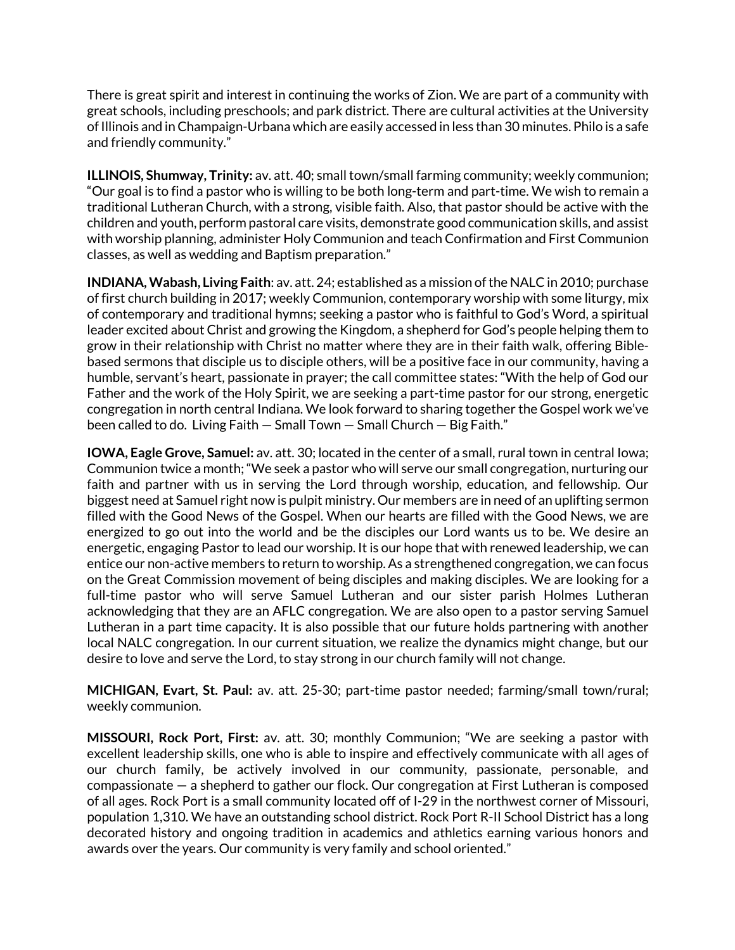There is great spirit and interest in continuing the works of Zion. We are part of a community with great schools, including preschools; and park district. There are cultural activities at the University of Illinois and in Champaign-Urbana which are easily accessed in less than 30 minutes. Philo is a safe and friendly community."

**ILLINOIS, Shumway, Trinity:** av. att. 40; small town/small farming community; weekly communion; "Our goal is to find a pastor who is willing to be both long-term and part-time. We wish to remain a traditional Lutheran Church, with a strong, visible faith. Also, that pastor should be active with the children and youth, perform pastoral care visits, demonstrate good communication skills, and assist with worship planning, administer Holy Communion and teach Confirmation and First Communion classes, as well as wedding and Baptism preparation."

**INDIANA, Wabash, Living Faith**: av. att. 24; established as a mission of the NALC in 2010; purchase of first church building in 2017; weekly Communion, contemporary worship with some liturgy, mix of contemporary and traditional hymns; seeking a pastor who is faithful to God's Word, a spiritual leader excited about Christ and growing the Kingdom, a shepherd for God's people helping them to grow in their relationship with Christ no matter where they are in their faith walk, offering Biblebased sermons that disciple us to disciple others, will be a positive face in our community, having a humble, servant's heart, passionate in prayer; the call committee states: "With the help of God our Father and the work of the Holy Spirit, we are seeking a part-time pastor for our strong, energetic congregation in north central Indiana. We look forward to sharing together the Gospel work we've been called to do. Living Faith — Small Town — Small Church — Big Faith."

**IOWA, Eagle Grove, Samuel:** av. att. 30; located in the center of a small, rural town in central Iowa; Communion twice a month;"We seek a pastor who will serve our small congregation, nurturing our faith and partner with us in serving the Lord through worship, education, and fellowship. Our biggest need at Samuel right now is pulpit ministry. Our members are in need of an uplifting sermon filled with the Good News of the Gospel. When our hearts are filled with the Good News, we are energized to go out into the world and be the disciples our Lord wants us to be. We desire an energetic, engaging Pastor to lead our worship. It is our hope that with renewed leadership, we can entice our non-active members to return to worship. As a strengthened congregation, we can focus on the Great Commission movement of being disciples and making disciples. We are looking for a full-time pastor who will serve Samuel Lutheran and our sister parish Holmes Lutheran acknowledging that they are an AFLC congregation. We are also open to a pastor serving Samuel Lutheran in a part time capacity. It is also possible that our future holds partnering with another local NALC congregation. In our current situation, we realize the dynamics might change, but our desire to love and serve the Lord, to stay strong in our church family will not change.

**MICHIGAN, Evart, St. Paul:** av. att. 25-30; part-time pastor needed; farming/small town/rural; weekly communion.

**MISSOURI, Rock Port, First:** av. att. 30; monthly Communion; "We are seeking a pastor with excellent leadership skills, one who is able to inspire and effectively communicate with all ages of our church family, be actively involved in our community, passionate, personable, and compassionate — a shepherd to gather our flock. Our congregation at First Lutheran is composed of all ages. Rock Port is a small community located off of I-29 in the northwest corner of Missouri, population 1,310. We have an outstanding school district. Rock Port R-II School District has a long decorated history and ongoing tradition in academics and athletics earning various honors and awards over the years. Our community is very family and school oriented."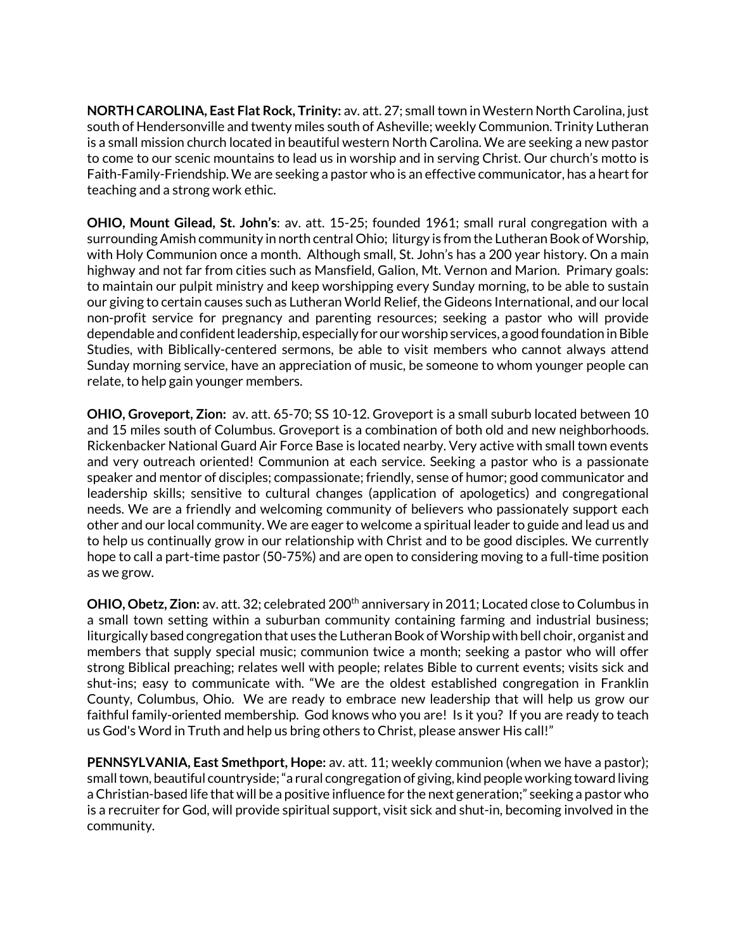**NORTH CAROLINA, East Flat Rock, Trinity:** av. att. 27; smalltown in Western North Carolina, just south of Hendersonville and twenty miles south of Asheville; weekly Communion. Trinity Lutheran is a small mission church located in beautiful western North Carolina. We are seeking a new pastor to come to our scenic mountains to lead us in worship and in serving Christ. Our church's motto is Faith-Family-Friendship. We are seeking a pastor who is an effective communicator, has a heart for teaching and a strong work ethic.

**OHIO, Mount Gilead, St. John's**: av. att. 15-25; founded 1961; small rural congregation with a surrounding Amish community in north central Ohio; liturgy is from the Lutheran Book of Worship, with Holy Communion once a month. Although small, St. John's has a 200 year history. On a main highway and not far from cities such as Mansfield, Galion, Mt. Vernon and Marion.Primary goals: to maintain our pulpit ministry and keep worshipping every Sunday morning, to be able to sustain our giving to certain causes such as Lutheran World Relief, the Gideons International, and our local non-profit service for pregnancy and parenting resources; seeking a pastor who will provide dependable and confident leadership, especially for our worship services, a good foundation in Bible Studies, with Biblically-centered sermons, be able to visit members who cannot always attend Sunday morning service, have an appreciation of music, be someone to whom younger people can relate, to help gain younger members.

**OHIO, Groveport, Zion:** av. att. 65-70; SS 10-12. Groveport is a small suburb located between 10 and 15 miles south of Columbus. Groveport is a combination of both old and new neighborhoods. Rickenbacker National Guard Air Force Base is located nearby. Very active with small town events and very outreach oriented! Communion at each service. Seeking a pastor who is a passionate speaker and mentor of disciples; compassionate; friendly, sense of humor; good communicator and leadership skills; sensitive to cultural changes (application of apologetics) and congregational needs. We are a friendly and welcoming community of believers who passionately support each other and our local community. We are eager to welcome a spiritual leader to guide and lead us and to help us continually grow in our relationship with Christ and to be good disciples. We currently hope to call a part-time pastor (50-75%) and are open to considering moving to a full-time position as we grow.

**OHIO, Obetz, Zion:** av. att. 32; celebrated 200<sup>th</sup> anniversary in 2011; Located close to Columbus in a small town setting within a suburban community containing farming and industrial business; liturgically based congregation that uses the Lutheran Book of Worship with bell choir, organist and members that supply special music; communion twice a month; seeking a pastor who will offer strong Biblical preaching; relates well with people; relates Bible to current events; visits sick and shut-ins; easy to communicate with. "We are the oldest established congregation in Franklin County, Columbus, Ohio. We are ready to embrace new leadership that will help us grow our faithful family-oriented membership. God knows who you are! Is it you? If you are ready to teach us God's Word in Truth and help us bring others to Christ, please answer His call!"

**PENNSYLVANIA, East Smethport, Hope:** av. att. 11; weekly communion (when we have a pastor); smalltown, beautiful countryside;"a rural congregation of giving, kind peopleworking toward living aChristian-based life that will be a positive influence for the next generation;" seeking a pastor who is a recruiter for God, will provide spiritual support, visit sick and shut-in, becoming involved in the community.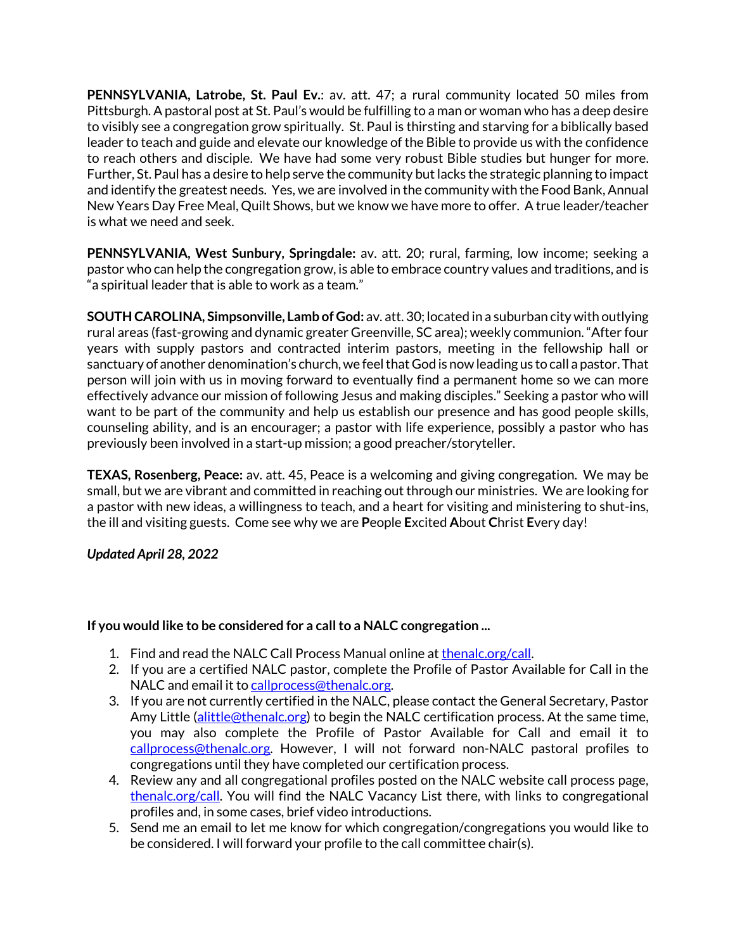**PENNSYLVANIA, Latrobe, St. Paul Ev.**: av. att. 47; a rural community located 50 miles from Pittsburgh. A pastoral post at St. Paul's would be fulfilling to a man or woman who has a deep desire to visibly see a congregation grow spiritually. St. Paul is thirsting and starving for a biblically based leader to teach and guide and elevate our knowledge of the Bible to provide us with the confidence to reach others and disciple. We have had some very robust Bible studies but hunger for more. Further, St. Paul has a desire to help serve the community but lacks the strategic planning to impact and identify the greatest needs. Yes, we are involved in the community with the Food Bank, Annual New Years Day Free Meal, Quilt Shows, but we know we have more to offer. A true leader/teacher is what we need and seek.

**PENNSYLVANIA, West Sunbury, Springdale:** av. att. 20; rural, farming, low income; seeking a pastor who can help the congregation grow, is able to embrace country values and traditions, and is "a spiritual leader that is able to work as a team."

**SOUTH CAROLINA, Simpsonville, Lamb of God:** av. att. 30; located in a suburban city with outlying rural areas (fast-growing and dynamic greater Greenville, SC area); weekly communion."After four years with supply pastors and contracted interim pastors, meeting in the fellowship hall or sanctuary of another denomination's church,we feelthat God is nowleading us to call a pastor. That person will join with us in moving forward to eventually find a permanent home so we can more effectively advance our mission of following Jesus and making disciples." Seeking a pastor who will want to be part of the community and help us establish our presence and has good people skills, counseling ability, and is an encourager; a pastor with life experience, possibly a pastor who has previously been involved in a start-up mission; a good preacher/storyteller.

**TEXAS, Rosenberg, Peace:** av. att. 45, Peace is a welcoming and giving congregation. We may be small, but we are vibrant and committed in reaching out through our ministries. We are looking for a pastor with new ideas, a willingness to teach, and a heart for visiting and ministering to shut-ins, the ill and visiting guests. Come see why we are **P**eople **E**xcited **A**bout **C**hrist **E**very day!

*Updated April 28, 2022*

## **If you would like to be considered for a call to a NALC congregation ...**

- 1. Find and read the NALC Call Process Manual online at thenalc.org/call.
- 2. If you are a certified NALC pastor, complete the Profile of Pastor Available for Call in the NALC and email it to callprocess@thenalc.org.
- 3. If you are not currently certified in the NALC, please contact the General Secretary, Pastor Amy Little (alittle@thenalc.org) to begin the NALC certification process. At the same time, you may also complete the Profile of Pastor Available for Call and email it to callprocess@thenalc.org. However, I will not forward non-NALC pastoral profiles to congregations until they have completed our certification process.
- 4. Review any and all congregational profiles posted on the NALC website call process page, thenalc.org/call. You will find the NALC Vacancy List there, with links to congregational profiles and, in some cases, brief video introductions.
- 5. Send me an email to let me know for which congregation/congregations you would like to be considered. I will forward your profile to the call committee chair(s).